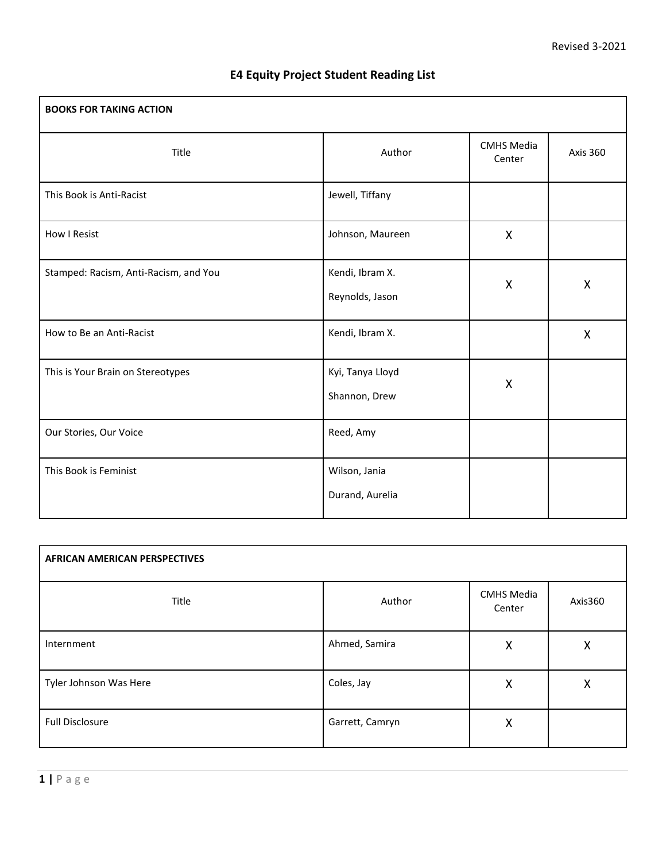| <b>BOOKS FOR TAKING ACTION</b>        |                                    |                             |                 |
|---------------------------------------|------------------------------------|-----------------------------|-----------------|
| Title                                 | Author                             | <b>CMHS Media</b><br>Center | <b>Axis 360</b> |
| This Book is Anti-Racist              | Jewell, Tiffany                    |                             |                 |
| How I Resist                          | Johnson, Maureen                   | X                           |                 |
| Stamped: Racism, Anti-Racism, and You | Kendi, Ibram X.<br>Reynolds, Jason | X                           | X               |
| How to Be an Anti-Racist              | Kendi, Ibram X.                    |                             | X               |
| This is Your Brain on Stereotypes     | Kyi, Tanya Lloyd<br>Shannon, Drew  | X                           |                 |
| Our Stories, Our Voice                | Reed, Amy                          |                             |                 |
| This Book is Feminist                 | Wilson, Jania<br>Durand, Aurelia   |                             |                 |

## **E4 Equity Project Student Reading List**

| <b>AFRICAN AMERICAN PERSPECTIVES</b> |                 |                             |         |
|--------------------------------------|-----------------|-----------------------------|---------|
| Title                                | Author          | <b>CMHS Media</b><br>Center | Axis360 |
| Internment                           | Ahmed, Samira   | X                           | Χ       |
| Tyler Johnson Was Here               | Coles, Jay      | X                           | Χ       |
| <b>Full Disclosure</b>               | Garrett, Camryn | X                           |         |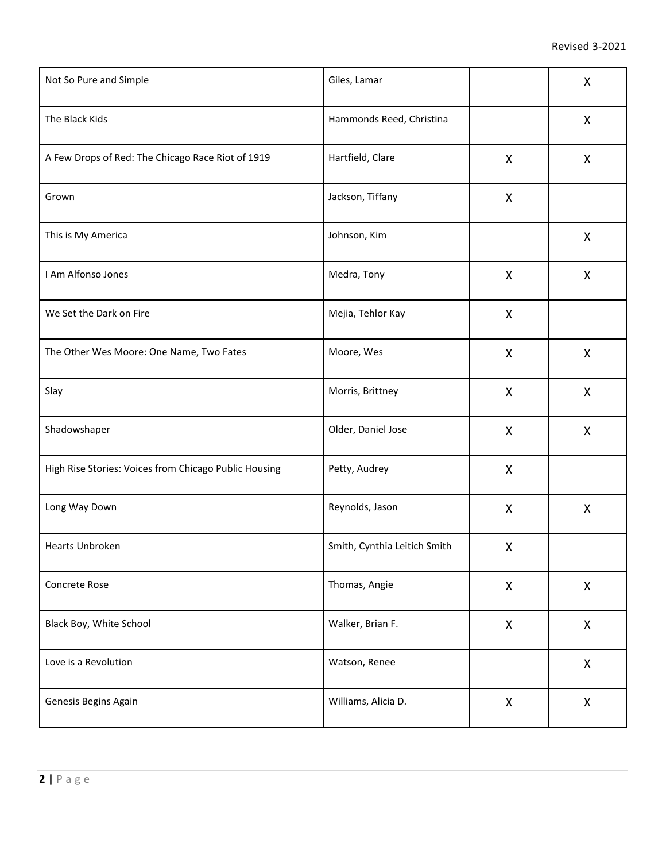| Not So Pure and Simple                                | Giles, Lamar                 |                           | X                         |
|-------------------------------------------------------|------------------------------|---------------------------|---------------------------|
| The Black Kids                                        | Hammonds Reed, Christina     |                           | $\boldsymbol{\mathsf{X}}$ |
| A Few Drops of Red: The Chicago Race Riot of 1919     | Hartfield, Clare             | $\boldsymbol{\mathsf{X}}$ | $\boldsymbol{\mathsf{X}}$ |
| Grown                                                 | Jackson, Tiffany             | X                         |                           |
| This is My America                                    | Johnson, Kim                 |                           | X                         |
| I Am Alfonso Jones                                    | Medra, Tony                  | X                         | X                         |
| We Set the Dark on Fire                               | Mejia, Tehlor Kay            | X                         |                           |
| The Other Wes Moore: One Name, Two Fates              | Moore, Wes                   | X                         | X                         |
| Slay                                                  | Morris, Brittney             | X                         | X                         |
| Shadowshaper                                          | Older, Daniel Jose           | X                         | X                         |
| High Rise Stories: Voices from Chicago Public Housing | Petty, Audrey                | X                         |                           |
| Long Way Down                                         | Reynolds, Jason              | X                         | X                         |
| Hearts Unbroken                                       | Smith, Cynthia Leitich Smith | X                         |                           |
| Concrete Rose                                         | Thomas, Angie                | X                         | X                         |
| Black Boy, White School                               | Walker, Brian F.             | X                         | $\pmb{\mathsf{X}}$        |
| Love is a Revolution                                  | Watson, Renee                |                           | $\pmb{\mathsf{X}}$        |
| Genesis Begins Again                                  | Williams, Alicia D.          | X                         | X                         |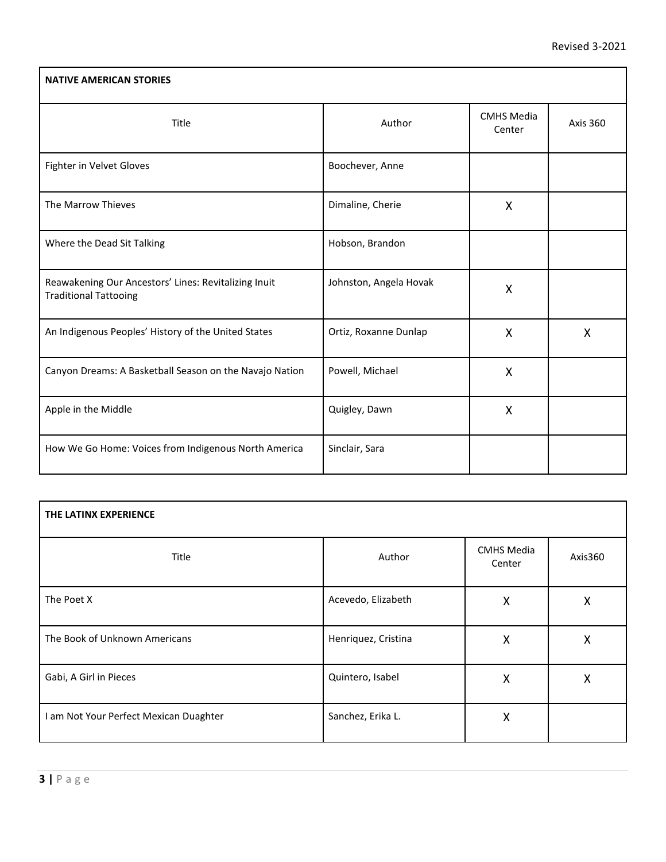| <b>NATIVE AMERICAN STORIES</b>                                                       |                        |                             |                 |
|--------------------------------------------------------------------------------------|------------------------|-----------------------------|-----------------|
| Title                                                                                | Author                 | <b>CMHS Media</b><br>Center | <b>Axis 360</b> |
| Fighter in Velvet Gloves                                                             | Boochever, Anne        |                             |                 |
| The Marrow Thieves                                                                   | Dimaline, Cherie       | X                           |                 |
| Where the Dead Sit Talking                                                           | Hobson, Brandon        |                             |                 |
| Reawakening Our Ancestors' Lines: Revitalizing Inuit<br><b>Traditional Tattooing</b> | Johnston, Angela Hovak | X                           |                 |
| An Indigenous Peoples' History of the United States                                  | Ortiz, Roxanne Dunlap  | X                           | X               |
| Canyon Dreams: A Basketball Season on the Navajo Nation                              | Powell, Michael        | X                           |                 |
| Apple in the Middle                                                                  | Quigley, Dawn          | X                           |                 |
| How We Go Home: Voices from Indigenous North America                                 | Sinclair, Sara         |                             |                 |

| THE LATINX EXPERIENCE                  |                     |                             |         |
|----------------------------------------|---------------------|-----------------------------|---------|
| Title                                  | Author              | <b>CMHS Media</b><br>Center | Axis360 |
| The Poet X                             | Acevedo, Elizabeth  | X                           | Χ       |
| The Book of Unknown Americans          | Henriquez, Cristina | X                           | Χ       |
| Gabi, A Girl in Pieces                 | Quintero, Isabel    | X                           | X       |
| I am Not Your Perfect Mexican Duaghter | Sanchez, Erika L.   | X                           |         |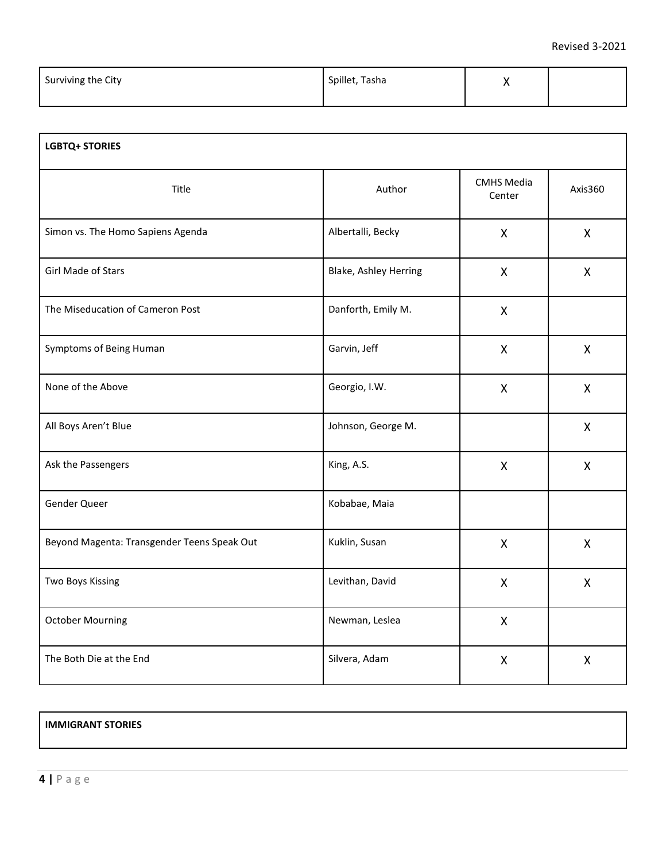| Surviving the City | Spillet, Tasha |  |
|--------------------|----------------|--|
|                    |                |  |

| <b>LGBTQ+ STORIES</b>                       |                       |                             |              |
|---------------------------------------------|-----------------------|-----------------------------|--------------|
| Title                                       | Author                | <b>CMHS Media</b><br>Center | Axis360      |
| Simon vs. The Homo Sapiens Agenda           | Albertalli, Becky     | X                           | $\mathsf{X}$ |
| Girl Made of Stars                          | Blake, Ashley Herring | X                           | X            |
| The Miseducation of Cameron Post            | Danforth, Emily M.    | X                           |              |
| Symptoms of Being Human                     | Garvin, Jeff          | X                           | X            |
| None of the Above                           | Georgio, I.W.         | X                           | X            |
| All Boys Aren't Blue                        | Johnson, George M.    |                             | $\mathsf{X}$ |
| Ask the Passengers                          | King, A.S.            | X                           | X            |
| Gender Queer                                | Kobabae, Maia         |                             |              |
| Beyond Magenta: Transgender Teens Speak Out | Kuklin, Susan         | X                           | $\mathsf{X}$ |
| Two Boys Kissing                            | Levithan, David       | X                           | X            |
| <b>October Mourning</b>                     | Newman, Leslea        | X                           |              |
| The Both Die at the End                     | Silvera, Adam         | X                           | X            |

## **IMMIGRANT STORIES**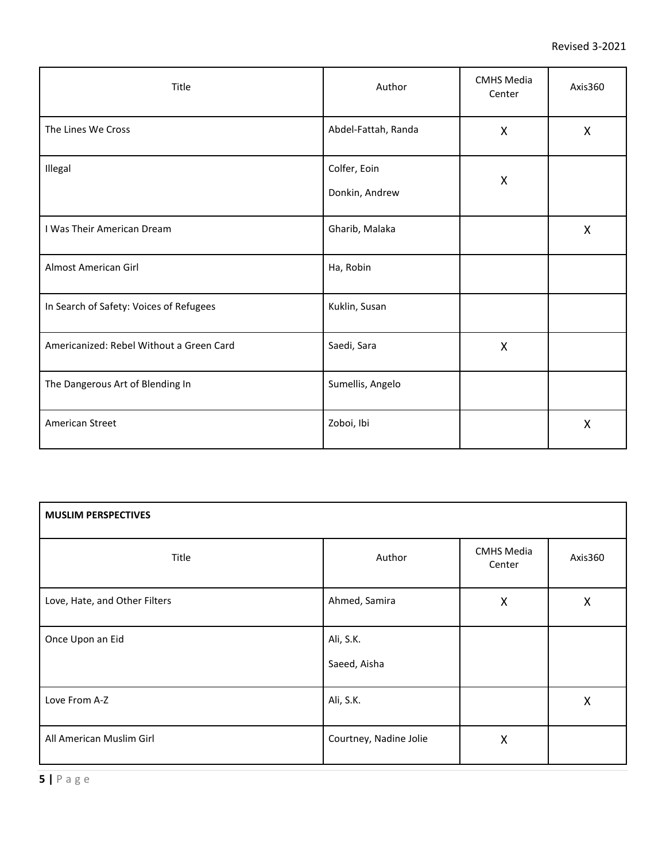| Title                                    | Author                         | <b>CMHS Media</b><br>Center | Axis360      |
|------------------------------------------|--------------------------------|-----------------------------|--------------|
| The Lines We Cross                       | Abdel-Fattah, Randa            | X                           | X            |
| Illegal                                  | Colfer, Eoin<br>Donkin, Andrew | X                           |              |
| I Was Their American Dream               | Gharib, Malaka                 |                             | $\mathsf{X}$ |
| Almost American Girl                     | Ha, Robin                      |                             |              |
| In Search of Safety: Voices of Refugees  | Kuklin, Susan                  |                             |              |
| Americanized: Rebel Without a Green Card | Saedi, Sara                    | $\mathsf{X}$                |              |
| The Dangerous Art of Blending In         | Sumellis, Angelo               |                             |              |
| American Street                          | Zoboi, Ibi                     |                             | $\sf X$      |

| <b>MUSLIM PERSPECTIVES</b>    |                           |                             |                    |
|-------------------------------|---------------------------|-----------------------------|--------------------|
| Title                         | Author                    | <b>CMHS Media</b><br>Center | Axis360            |
| Love, Hate, and Other Filters | Ahmed, Samira             | $\mathsf{X}$                | X                  |
| Once Upon an Eid              | Ali, S.K.<br>Saeed, Aisha |                             |                    |
| Love From A-Z                 | Ali, S.K.                 |                             | $\pmb{\mathsf{X}}$ |
| All American Muslim Girl      | Courtney, Nadine Jolie    | X                           |                    |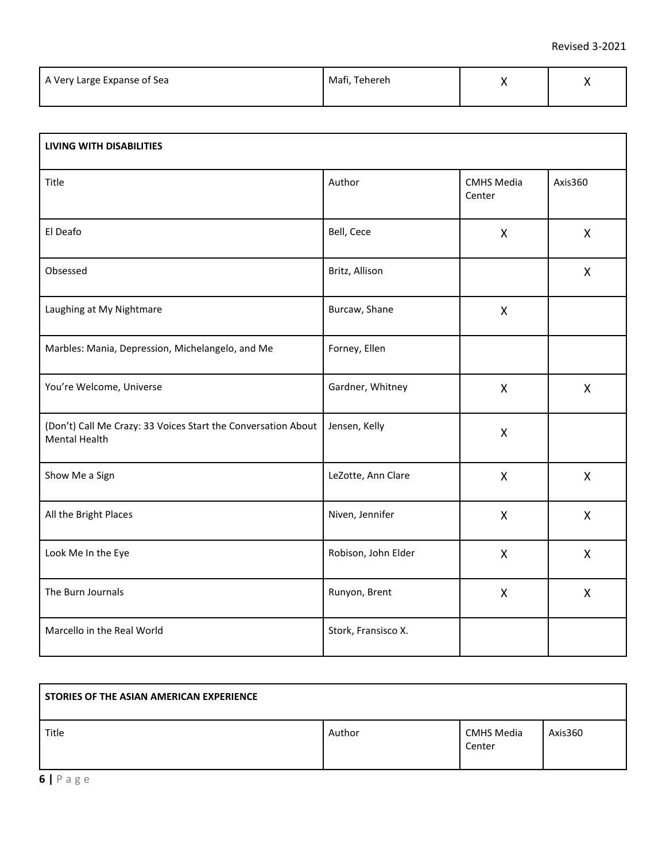| A Very Large Expanse of Sea | Mafi, Tehereh |  |
|-----------------------------|---------------|--|
|                             |               |  |

| <b>LIVING WITH DISABILITIES</b>                                                       |                     |                             |              |  |
|---------------------------------------------------------------------------------------|---------------------|-----------------------------|--------------|--|
| Title                                                                                 | Author              | <b>CMHS Media</b><br>Center | Axis360      |  |
| El Deafo                                                                              | Bell, Cece          | X                           | X            |  |
| Obsessed                                                                              | Britz, Allison      |                             | X            |  |
| Laughing at My Nightmare                                                              | Burcaw, Shane       | X                           |              |  |
| Marbles: Mania, Depression, Michelangelo, and Me                                      | Forney, Ellen       |                             |              |  |
| You're Welcome, Universe                                                              | Gardner, Whitney    | X                           | X            |  |
| (Don't) Call Me Crazy: 33 Voices Start the Conversation About<br><b>Mental Health</b> | Jensen, Kelly       | X                           |              |  |
| Show Me a Sign                                                                        | LeZotte, Ann Clare  | X                           | X            |  |
| All the Bright Places                                                                 | Niven, Jennifer     | X                           | X            |  |
| Look Me In the Eye                                                                    | Robison, John Elder | X                           | X            |  |
| The Burn Journals                                                                     | Runyon, Brent       | $\mathsf X$                 | $\mathsf{X}$ |  |
| Marcello in the Real World                                                            | Stork, Fransisco X. |                             |              |  |

| STORIES OF THE ASIAN AMERICAN EXPERIENCE |        |                             |         |
|------------------------------------------|--------|-----------------------------|---------|
| Title                                    | Author | <b>CMHS Media</b><br>Center | Axis360 |